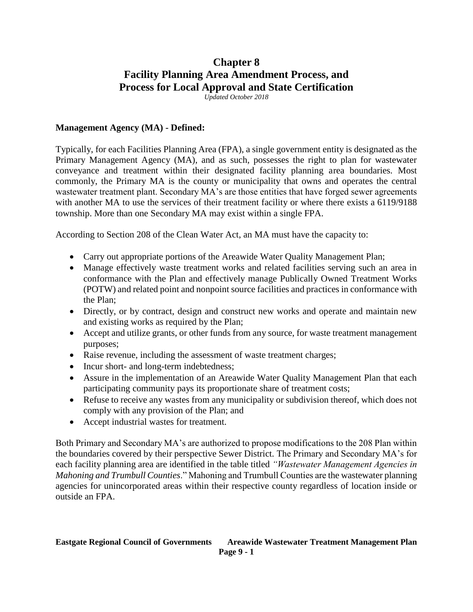# **Chapter 8 Facility Planning Area Amendment Process, and Process for Local Approval and State Certification**

*Updated October 2018*

#### **Management Agency (MA) - Defined:**

Typically, for each Facilities Planning Area (FPA), a single government entity is designated as the Primary Management Agency (MA), and as such, possesses the right to plan for wastewater conveyance and treatment within their designated facility planning area boundaries. Most commonly, the Primary MA is the county or municipality that owns and operates the central wastewater treatment plant. Secondary MA's are those entities that have forged sewer agreements with another MA to use the services of their treatment facility or where there exists a 6119/9188 township. More than one Secondary MA may exist within a single FPA.

According to Section 208 of the Clean Water Act, an MA must have the capacity to:

- Carry out appropriate portions of the Areawide Water Quality Management Plan;
- Manage effectively waste treatment works and related facilities serving such an area in conformance with the Plan and effectively manage Publically Owned Treatment Works (POTW) and related point and nonpoint source facilities and practices in conformance with the Plan;
- Directly, or by contract, design and construct new works and operate and maintain new and existing works as required by the Plan;
- Accept and utilize grants, or other funds from any source, for waste treatment management purposes;
- Raise revenue, including the assessment of waste treatment charges;
- Incur short- and long-term indebtedness;
- Assure in the implementation of an Areawide Water Quality Management Plan that each participating community pays its proportionate share of treatment costs;
- Refuse to receive any wastes from any municipality or subdivision thereof, which does not comply with any provision of the Plan; and
- Accept industrial wastes for treatment.

Both Primary and Secondary MA's are authorized to propose modifications to the 208 Plan within the boundaries covered by their perspective Sewer District. The Primary and Secondary MA's for each facility planning area are identified in the table titled *"Wastewater Management Agencies in Mahoning and Trumbull Counties*." Mahoning and Trumbull Counties are the wastewater planning agencies for unincorporated areas within their respective county regardless of location inside or outside an FPA.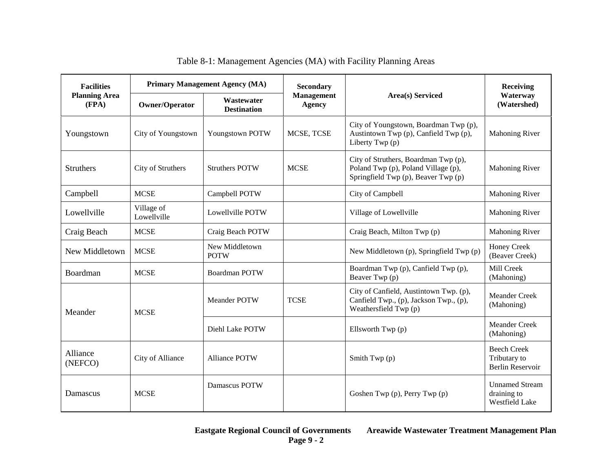| <b>Facilities</b><br><b>Planning Area</b><br>(FPA) | <b>Primary Management Agency (MA)</b> |                                  | <b>Secondary</b>                   |                                                                                                                    | Receiving                                                     |
|----------------------------------------------------|---------------------------------------|----------------------------------|------------------------------------|--------------------------------------------------------------------------------------------------------------------|---------------------------------------------------------------|
|                                                    | Owner/Operator                        | Wastewater<br><b>Destination</b> | <b>Management</b><br><b>Agency</b> | <b>Area(s)</b> Serviced                                                                                            | Waterway<br>(Watershed)                                       |
| Youngstown                                         | City of Youngstown                    | Youngstown POTW                  | MCSE, TCSE                         | City of Youngstown, Boardman Twp (p),<br>Austintown Twp (p), Canfield Twp (p),<br>Liberty Twp (p)                  | <b>Mahoning River</b>                                         |
| <b>Struthers</b>                                   | City of Struthers                     | <b>Struthers POTW</b>            | <b>MCSE</b>                        | City of Struthers, Boardman Twp (p),<br>Poland Twp (p), Poland Village (p),<br>Springfield Twp (p), Beaver Twp (p) | <b>Mahoning River</b>                                         |
| Campbell                                           | <b>MCSE</b>                           | Campbell POTW                    |                                    | City of Campbell                                                                                                   | <b>Mahoning River</b>                                         |
| Lowellville                                        | Village of<br>Lowellville             | Lowellville POTW                 |                                    | Village of Lowellville                                                                                             | <b>Mahoning River</b>                                         |
| Craig Beach                                        | <b>MCSE</b>                           | Craig Beach POTW                 |                                    | Craig Beach, Milton Twp (p)                                                                                        | <b>Mahoning River</b>                                         |
| New Middletown                                     | <b>MCSE</b>                           | New Middletown<br><b>POTW</b>    |                                    | New Middletown (p), Springfield Twp (p)                                                                            | Honey Creek<br>(Beaver Creek)                                 |
| Boardman                                           | <b>MCSE</b>                           | <b>Boardman POTW</b>             |                                    | Boardman Twp (p), Canfield Twp (p),<br>Beaver Twp (p)                                                              | Mill Creek<br>(Mahoning)                                      |
| Meander                                            | <b>MCSE</b>                           | <b>Meander POTW</b>              | <b>TCSE</b>                        | City of Canfield, Austintown Twp. (p),<br>Canfield Twp., (p), Jackson Twp., (p),<br>Weathersfield Twp (p)          | <b>Meander Creek</b><br>(Mahoning)                            |
|                                                    |                                       | Diehl Lake POTW                  |                                    | Ellsworth Twp (p)                                                                                                  | Meander Creek<br>(Mahoning)                                   |
| Alliance<br>(NEFCO)                                | City of Alliance                      | <b>Alliance POTW</b>             |                                    | Smith Twp $(p)$                                                                                                    | <b>Beech Creek</b><br>Tributary to<br><b>Berlin Reservoir</b> |
| Damascus                                           | <b>MCSE</b>                           | Damascus POTW                    |                                    | Goshen Twp (p), Perry Twp (p)                                                                                      | <b>Unnamed Stream</b><br>draining to<br><b>Westfield Lake</b> |

Table 8-1: Management Agencies (MA) with Facility Planning Areas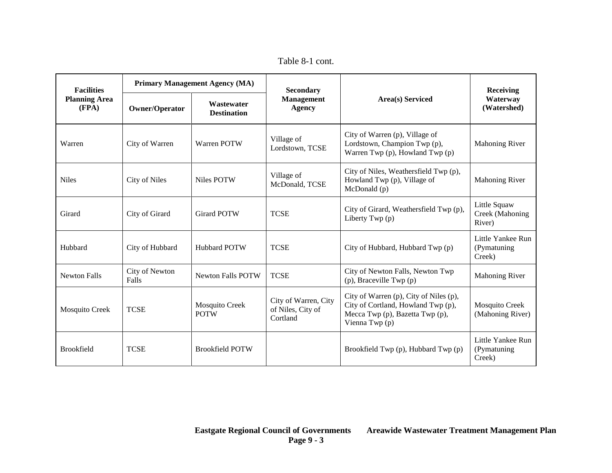Table 8-1 cont.

| <b>Facilities</b><br><b>Planning Area</b><br>(FPA) | <b>Primary Management Agency (MA)</b> |                                  | <b>Secondary</b>                                      |                                                                                                                                   | <b>Receiving</b>                            |
|----------------------------------------------------|---------------------------------------|----------------------------------|-------------------------------------------------------|-----------------------------------------------------------------------------------------------------------------------------------|---------------------------------------------|
|                                                    | <b>Owner/Operator</b>                 | Wastewater<br><b>Destination</b> | <b>Management</b><br><b>Agency</b>                    | <b>Area(s)</b> Serviced                                                                                                           | Waterway<br>(Watershed)                     |
| Warren                                             | City of Warren                        | Warren POTW                      | Village of<br>Lordstown, TCSE                         | City of Warren (p), Village of<br>Lordstown, Champion Twp (p),<br>Warren Twp (p), Howland Twp (p)                                 | <b>Mahoning River</b>                       |
| <b>Niles</b>                                       | City of Niles                         | Niles POTW                       | Village of<br>McDonald, TCSE                          | City of Niles, Weathersfield Twp (p),<br>Howland Twp (p), Village of<br>McDonald (p)                                              | <b>Mahoning River</b>                       |
| Girard                                             | City of Girard                        | <b>Girard POTW</b>               | <b>TCSE</b>                                           | City of Girard, Weathersfield Twp (p),<br>Liberty Twp (p)                                                                         | Little Squaw<br>Creek (Mahoning<br>River)   |
| Hubbard                                            | City of Hubbard                       | <b>Hubbard POTW</b>              | <b>TCSE</b>                                           | City of Hubbard, Hubbard Twp (p)                                                                                                  | Little Yankee Run<br>(Pymatuning)<br>Creek) |
| <b>Newton Falls</b>                                | City of Newton<br>Falls               | <b>Newton Falls POTW</b>         | <b>TCSE</b>                                           | City of Newton Falls, Newton Twp<br>$(p)$ , Braceville Twp $(p)$                                                                  | <b>Mahoning River</b>                       |
| Mosquito Creek                                     | <b>TCSE</b>                           | Mosquito Creek<br><b>POTW</b>    | City of Warren, City<br>of Niles, City of<br>Cortland | City of Warren (p), City of Niles (p),<br>City of Cortland, Howland Twp (p),<br>Mecca Twp (p), Bazetta Twp (p),<br>Vienna Twp (p) | <b>Mosquito Creek</b><br>(Mahoning River)   |
| <b>Brookfield</b>                                  | <b>TCSE</b>                           | <b>Brookfield POTW</b>           |                                                       | Brookfield Twp (p), Hubbard Twp (p)                                                                                               | Little Yankee Run<br>(Pymatuning)<br>Creek) |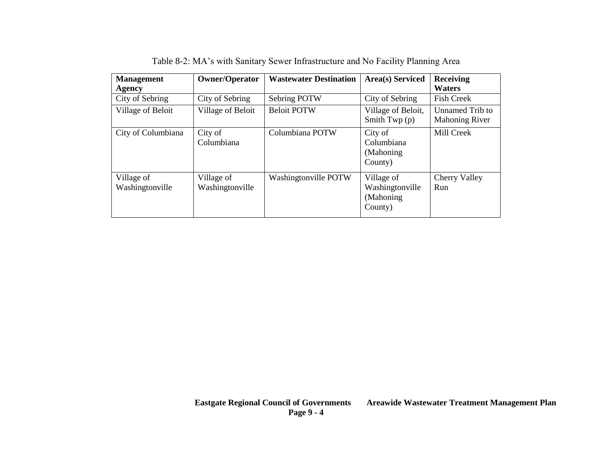| <b>Management</b><br>Agency   | <b>Owner/Operator</b>         | <b>Wastewater Destination</b> | <b>Area(s)</b> Serviced                                | <b>Receiving</b><br><b>Waters</b>        |
|-------------------------------|-------------------------------|-------------------------------|--------------------------------------------------------|------------------------------------------|
| City of Sebring               | City of Sebring               | Sebring POTW                  | City of Sebring                                        | <b>Fish Creek</b>                        |
| Village of Beloit             | Village of Beloit             | <b>Beloit POTW</b>            | Village of Beloit,<br>Smith Twp $(p)$                  | Unnamed Trib to<br><b>Mahoning River</b> |
| City of Columbiana            | City of<br>Columbiana         | Columbiana POTW               | City of<br>Columbiana<br>(Mahoning)<br>County)         | Mill Creek                               |
| Village of<br>Washingtonville | Village of<br>Washingtonville | Washingtonville POTW          | Village of<br>Washingtonville<br>(Mahoning)<br>County) | Cherry Valley<br>Run                     |

Table 8-2: MA's with Sanitary Sewer Infrastructure and No Facility Planning Area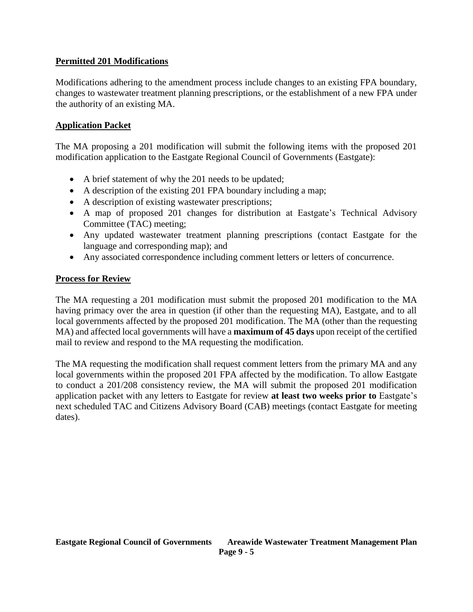# **Permitted 201 Modifications**

Modifications adhering to the amendment process include changes to an existing FPA boundary, changes to wastewater treatment planning prescriptions, or the establishment of a new FPA under the authority of an existing MA.

### **Application Packet**

The MA proposing a 201 modification will submit the following items with the proposed 201 modification application to the Eastgate Regional Council of Governments (Eastgate):

- A brief statement of why the 201 needs to be updated;
- A description of the existing 201 FPA boundary including a map;
- A description of existing wastewater prescriptions;
- A map of proposed 201 changes for distribution at Eastgate's Technical Advisory Committee (TAC) meeting;
- Any updated wastewater treatment planning prescriptions (contact Eastgate for the language and corresponding map); and
- Any associated correspondence including comment letters or letters of concurrence.

# **Process for Review**

The MA requesting a 201 modification must submit the proposed 201 modification to the MA having primacy over the area in question (if other than the requesting MA), Eastgate, and to all local governments affected by the proposed 201 modification. The MA (other than the requesting MA) and affected local governments will have a **maximum of 45 days** upon receipt of the certified mail to review and respond to the MA requesting the modification.

The MA requesting the modification shall request comment letters from the primary MA and any local governments within the proposed 201 FPA affected by the modification. To allow Eastgate to conduct a 201/208 consistency review, the MA will submit the proposed 201 modification application packet with any letters to Eastgate for review **at least two weeks prior to** Eastgate's next scheduled TAC and Citizens Advisory Board (CAB) meetings (contact Eastgate for meeting dates).